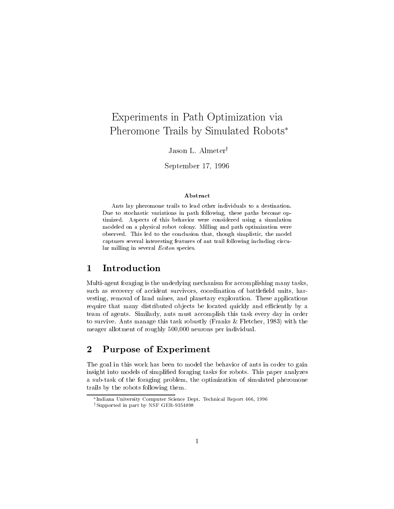# Experiments in Path Optimization via Pheromone Trails by Simulated Robots

Jason L. Almeter<sup>†</sup>

September 17, 1996

### Abstract

Ants lay pheromone trails to lead other individuals to a destination. Due to stochastic variations in path following, these paths become optimized. Aspects of this behavior were considered using a simulation modeled on a physical robot colony. Milling and path optimization were observed. This led to the conclusion that, though simplistic, the model captures several interesting features of ant trail following including circular milling in several Eciton species.

### <sup>1</sup> Introduction

Multi-agent foraging is the underlying mechanism for accomplishing many tasks, such as recovery of accident survivors, coordination of battlefield units, harvesting, removal of land mines, and planetary exploration. These applications require that many distributed objects be located quickly and efficiently by a team of agents. Similarly, ants must accomplish this task every day in order to survive. Ants manage this task robustly (Franks & Fletcher, 1983) with the meager allotment of roughly 500,000 neurons per individual.

#### $\overline{2}$ Purpose of Experiment

The goal in this work has been to model the behavior of ants in order to gain insight into models of simplied foraging tasks for robots. This paper analyzes a sub-task of the foraging problem, the optimization of simulated pheromone trails by the robots following them.

Indiana University Computer Science Dept. Technical Report 466, 1996

<sup>&</sup>lt;sup>†</sup>Supported in part by NSF GER-9354898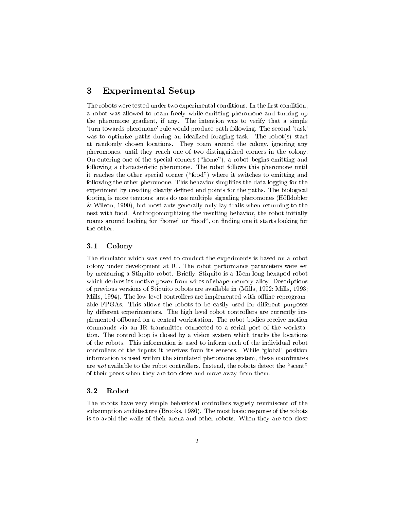#### 3 Experimental Setup

The robots were tested under two experimental conditions. In the first condition, a robot was allowed to roam freely while emitting pheromone and turning up the pheromone gradient, if any. The intention was to verify that a simple `turn towards pheromone' rule would produce path following. The second `task' was to optimize paths during an idealized foraging task. The robot(s) start at randomly chosen locations. They roam around the colony, ignoring any pheromones, until they reach one of two distinguished corners in the colony. On entering one of the special corners ("home"), a robot begins emitting and following a characteristic pheromone. The robot follows this pheromone until it reaches the other special corner (\food") where it switches to emitting and following the other pheromone. This behavior simplies the data logging for the experiment by creating clearly defined end points for the paths. The biological footing is more tenuous: ants do use multiple signaling pheromones (Hölldobler & Wilson, 1990), but most ants generally only lay trails when returning to the nest with food. Anthropomorphizing the resulting behavior, the robot initially roams around looking for "home" or "food", on finding one it starts looking for the other.

#### 3.1Colony

The simulator which was used to conduct the experiments is based on a robot colony under development at IU. The robot performance parameters were set by measuring a Stiquito robot. Briefly, Stiquito is a 15cm long hexapod robot which derives its motive power from wires of shape-memory alloy. Descriptions of previous versions of Stiquito robots are available in (Mills, 1992; Mills, 1993; Mills, 1994). The low level controllers are implemented with offline reprogramable FPGAs. This allows the robots to be easily used for different purposes by different experimenters. The high level robot controllers are currently implemented offboard on a central workstation. The robot bodies receive motion commands via an IR transmitter connected to a serial port of the workstation. The control loop is closed by a vision system which tracks the locations of the robots. This information is used to inform each of the individual robot controllers of the inputs it receives from its sensors. While `global' position information is used within the simulated pheromone system, these coordinates are not available to the robot controllers. Instead, the robots detect the "scent" of their peers when they are too close and move away from them.

#### 3.2Robot

The robots have very simple behavioral controllers vaguely reminiscent of the subsumption architecture (Brooks, 1986). The most basic response of the robots is to avoid the walls of their arena and other robots. When they are too close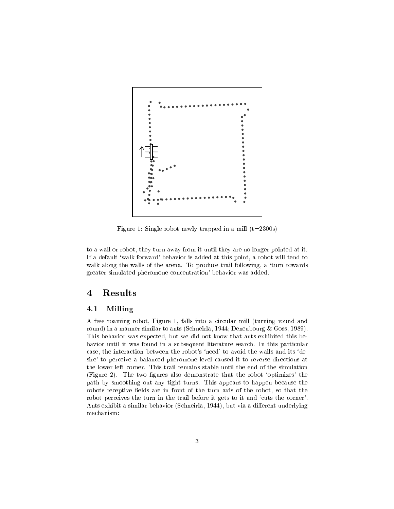

Figure 1: Single robot newly trapped in a mill  $(t=2300s)$ 

to a wall or robot, they turn away from it until they are no longer pointed at it. If a default `walk forward' behavior is added at this point, a robot will tend to walk along the walls of the arena. To produce trail following, a 'turn towards greater simulated pheromone concentration' behavior was added.

## <sup>4</sup> Results

#### 4.1Milling

A free roaming robot, Figure 1,falls into a circular mill (turning round and round) in a manner similar to ants (Schneirla, 1944; Deneubourg & Goss, 1989). This behavior was expected, but we did not know that ants exhibited this behavior until it was found in a subsequent literature search. In this particular case, the interaction between the robot's 'need' to avoid the walls and its 'desire' to perceive a balanced pheromone level caused it to reverse directions at the lower left corner. This trail remains stable until the end of the simulation (Figure 2). The two figures also demonstrate that the robot 'optimizes' the path by smoothing out any tight turns. This appears to happen because the robots receptive fields are in front of the turn axis of the robot, so that the robot perceives the turn in the trail before it gets to it and 'cuts the corner'. Ants exhibit a similar behavior (Schneirla, 1944), but via a different underlying mechanism: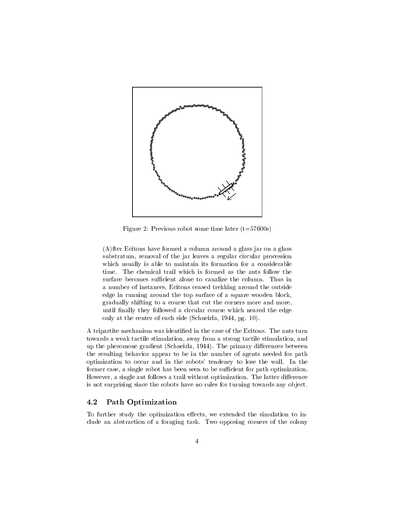

Figure 2: Previous robot some time later  $(t=57600s)$ 

(A)fter Ecitons have formed a column around a glass jar on a glass substratum, removal of the jar leaves a regular circular procession which usually is able to maintain its formation for a considerable time. The chemical trail which is formed as the ants follow the surface becomes sufficient alone to canalize the column. Thus in a number of instances, Ecitons ceased trekking around the outside edge in running around the top surface of a square wooden block, gradually shifting to a course that cut the corners more and more, until finally they followed a circular course which neared the edge only at the center of each side (Schneirla, 1944, pg. 10).

A tripartite mechanism was identied in the case of the Ecitons. The ants turn towards a weak tactile stimulation, away from a strong tactile stimulation, and up the pheromone gradient (Schneirla, 1944). The primary differences between the resulting behavior appear to be in the number of agents needed for path optimization to occur and in the robots' tendency to lose the wall. In the former case, a single robot has been seen to be sufficient for path optimization. However, a single ant follows a trail without optimization. The latter difference is not surprising since the robots have no rules for turning towards any object.

#### 4.2Path Optimization

To further study the optimization effects, we extended the simulation to include an abstraction of a foraging task. Two opposing corners of the colony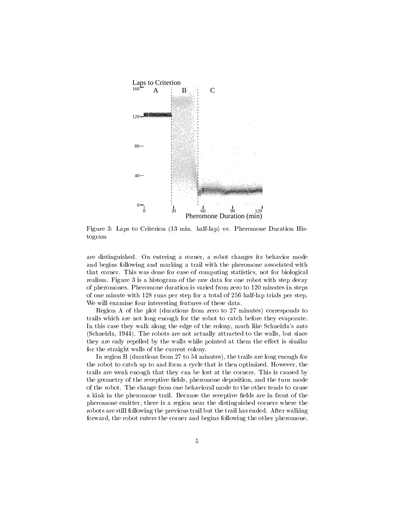

Figure 3: Laps to Criterion (13 min. half-lap) vs. Pheromone Duration Histogram

are distinguished. On entering a corner, a robot changes its behavior mode and begins following and marking a trail with the pheromone associated with that corner. This was done for ease of computing statistics, not for biological realism. Figure 3 is a histogram of the raw data for one robot with step decay of pheromones. Pheromone duration is varied from zero to 120 minutes in steps of one minute with 128 runs per step for a total of 256 half-lap trials per step. We will examine four interesting features of these data.

Region A of the plot (durations from zero to 27 minutes) corresponds to trails which are not long enough for the robot to catch before they evaporate. In this case they walk along the edge of the colony, much like Schneirla's ants (Schneirla, 1944). The robots are not actually attracted to the walls, but since they are only repelled by the walls while pointed at them the effect is similar for the straight walls of the current colony.

In region B (durations from 27 to 54 minutes), the trails are long enough for the robot to catch up to and form a cycle that is then optimized. However, the trails are weak enough that they can be lost at the corners. This is caused by the geometry of the receptive fields, pheromone deposition, and the turn mode of the robot. The change from one behavioral mode to the other tends to cause a kink in the pheromone trail. Because the receptive fields are in front of the pheromone emitter, there is a region near the distinguished corners where the robots are still following the previous trail but the trail has ended. After walking forward, the robot enters the corner and begins following the other pheromone.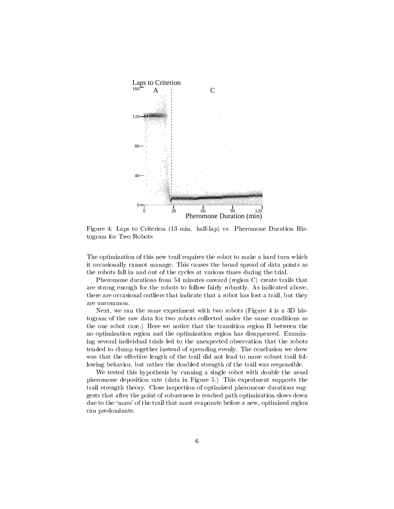

Figure 4: Laps to Criterion (13 min. half-lap) vs. Pheromone Duration Histogram for Two Robots

The optimization of this new trail requires the robot to make a hard turn which it occasionally cannot manage. This causes the broad spread of data points as the robots fall in and out of the cycles at various times during the trial.

Pheromone durations from 54 minutes onward (region C) create trails that are strong enough for the robots to follow fairly robustly. As indicated above, there are occasional outliers that indicate that a robot has lost a trail, but they are uncommon.

Next, we ran the same experiment with two robots (Figure 4 is a 3D histogram of the raw data for two robots collected under the same conditions as the one robot case.) Here we notice that the transition region B between the no optimization region and the optimization region has disappeared. Examining several individual trials led to the unexpected observation that the robots tended to clump together instead of spreading evenly. The conclusion we drew was that the effective length of the trail did not lead to more robust trail following behavior, but rather the doubled strength of the trail was responsible.

We tested this hypothesis by running a single robot with double the usual pheromone deposition rate (data in Figure 5.) This experiment supports the trail strength theory. Close inspection of optimized pheromone durations suggests that after the point of robustness is reached path optimization slows down due to the 'mass' of the trail that must evaporate before a new, optimized region can predominate.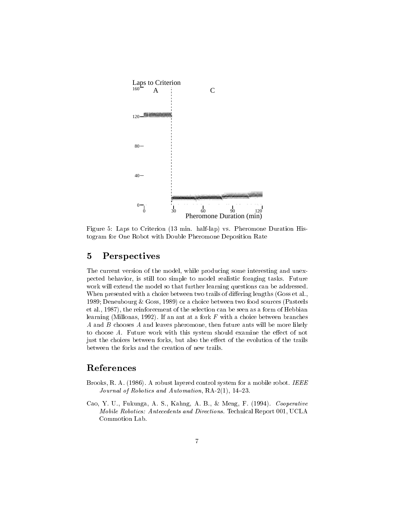

Figure 5: Laps to Criterion (13 min. half-lap) vs. Pheromone Duration Histogram for One Robot with Double Pheromone Deposition Rate

### <sup>5</sup> Perspectives

The current version of the model, while producing some interesting and unexpected behavior, is still too simple to model realistic foraging tasks. Future work will extend the model so that further learning questions can be addressed. When presented with a choice between two trails of differing lengths (Goss et al., 1989; Deneubourg & Goss, 1989) or a choice between two food sources (Pasteels et al., 1987), the reinforcement of the selection can be seen as a form of Hebbian learning (Millonas, 1992). If an ant at a fork  $F$  with a choice between branches  $A$  and  $B$  chooses  $A$  and leaves pheromone, then future ants will be more likely to choose  $A$ . Future work with this system should examine the effect of not just the choices between forks, but also the effect of the evolution of the trails between the forks and the creation of new trails.

### References

- Brooks, R. A. (1986). A robust layered control system for a mobile robot. IEEE Journal of Robotics and Automation,  $RA-2(1)$ ,  $14-23$ .
- Cao, Y. U., Fukunga, A. S., Kahng, A. B., & Meng, F. (1994). Cooperative Mobile Robotics: Antecedents and Directions. Technical Report 001, UCLA Commotion Lab.